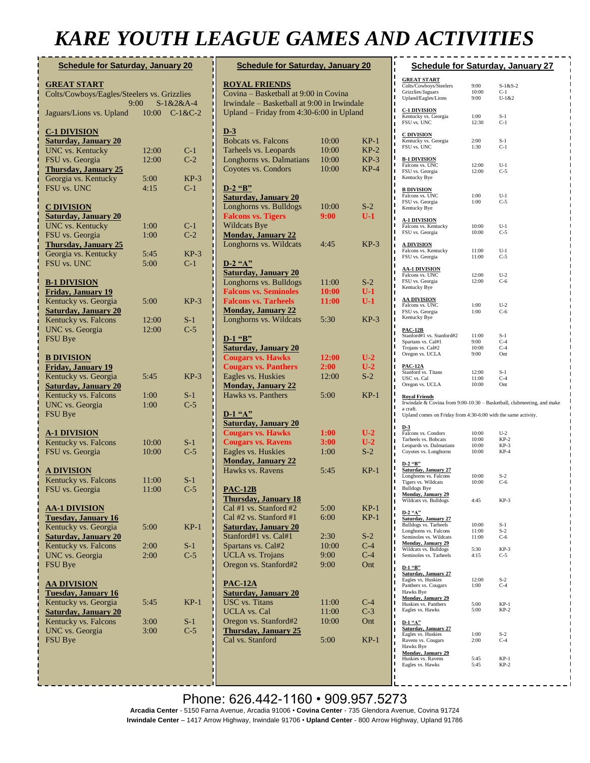### *KARE YOUTH LEAGUE GAMES AND ACTIVITIES*

| <b>Schedule for Saturday, January 20</b>                            |                 |                |  |  |
|---------------------------------------------------------------------|-----------------|----------------|--|--|
| <b>GREAT START</b>                                                  |                 |                |  |  |
| Colts/Cowboys/Eagles/Steelers vs. Grizzlies<br>$9:00$ $S-1&2&2&A-4$ |                 |                |  |  |
| Jaguars/Lions vs. Upland                                            | $10:00$ C-1&C-2 |                |  |  |
| <b>C-1 DIVISION</b>                                                 |                 |                |  |  |
| <b>Saturday, January 20</b>                                         |                 |                |  |  |
| <b>UNC</b> vs. Kentucky<br>FSU vs. Georgia                          | 12:00<br>12:00  | $C-1$<br>$C-2$ |  |  |
| <b>Thursday, January 25</b>                                         |                 |                |  |  |
| Georgia vs. Kentucky                                                | 5:00            | $KP-3$         |  |  |
| FSU vs. UNC                                                         | 4:15            | $C-1$          |  |  |
| <b>C DIVISION</b>                                                   |                 |                |  |  |
| <b>Saturday, January 20</b>                                         |                 |                |  |  |
| <b>UNC</b> vs. Kentucky                                             | 1:00            | $C-1$          |  |  |
| FSU vs. Georgia<br><b>Thursday, January 25</b>                      | 1:00            | $C-2$          |  |  |
| Georgia vs. Kentucky                                                | 5:45            | $KP-3$         |  |  |
| FSU vs. UNC                                                         | 5:00            | $C-1$          |  |  |
|                                                                     |                 |                |  |  |
| <b>B-1 DIVISION</b><br><b>Friday, January 19</b>                    |                 |                |  |  |
| Kentucky vs. Georgia                                                | 5:00            | $KP-3$         |  |  |
| <b>Saturday, January 20</b>                                         |                 |                |  |  |
| Kentucky vs. Falcons<br>UNC vs. Georgia                             | 12:00<br>12:00  | $S-1$<br>$C-5$ |  |  |
| FSU Bye                                                             |                 |                |  |  |
|                                                                     |                 |                |  |  |
| <b>B DIVISION</b><br><b>Friday, January 19</b>                      |                 |                |  |  |
| Kentucky vs. Georgia                                                | 5:45            | $KP-3$         |  |  |
| <b>Saturday, January 20</b>                                         |                 |                |  |  |
| Kentucky vs. Falcons<br>UNC vs. Georgia                             | 1:00<br>1:00    | $S-1$<br>$C-5$ |  |  |
| FSU Bye                                                             |                 |                |  |  |
| <b>A-1 DIVISION</b>                                                 |                 |                |  |  |
| Kentucky vs. Falcons                                                | 10:00           | $S-1$          |  |  |
| FSU vs. Georgia                                                     | 10:00           | $C-5$          |  |  |
| <u>A DIVISION</u>                                                   |                 |                |  |  |
| Kentucky vs. Falcons                                                | 11:00           | $S-1$          |  |  |
| FSU vs. Georgia                                                     | 11:00           | $C-5$          |  |  |
| <b>AA-1 DIVISION</b>                                                |                 |                |  |  |
| <b>Tuesday, January 16</b>                                          |                 |                |  |  |
| Kentucky vs. Georgia                                                | 5:00            | $KP-1$         |  |  |
| <b>Saturday, January 20</b><br>Kentucky vs. Falcons                 | 2:00            | $S-1$          |  |  |
| UNC vs. Georgia                                                     | 2:00            | $C-5$          |  |  |
| <b>FSU Bye</b>                                                      |                 |                |  |  |
| <b>AA DIVISION</b>                                                  |                 |                |  |  |
| <b>Tuesday, January 16</b>                                          |                 |                |  |  |
| Kentucky vs. Georgia                                                | 5:45            | $KP-1$         |  |  |
| <b>Saturday, January 20</b><br>Kentucky vs. Falcons                 | 3:00            | $S-1$          |  |  |
| UNC vs. Georgia                                                     | 3:00            | $C-5$          |  |  |
| FSU Bye                                                             |                 |                |  |  |
|                                                                     |                 |                |  |  |
|                                                                     |                 |                |  |  |

| <b>Schedule for Saturday, January 20</b>                |                |                  |  |
|---------------------------------------------------------|----------------|------------------|--|
| <b>ROYAL FRIENDS</b>                                    |                |                  |  |
| Covina - Basketball at 9:00 in Covina                   |                |                  |  |
| Irwindale - Basketball at 9:00 in Irwindale             |                |                  |  |
| Upland - Friday from 4:30-6:00 in Upland                |                |                  |  |
|                                                         |                |                  |  |
| $D-3$                                                   |                |                  |  |
| <b>Bobcats vs. Falcons</b>                              | 10:00          | $KP-1$           |  |
| Tarheels vs. Leopards                                   | 10:00          | $KP-2$           |  |
| Longhorns vs. Dalmatians<br>Coyotes vs. Condors         | 10:00<br>10:00 | $KP-3$<br>$KP-4$ |  |
|                                                         |                |                  |  |
| $D-2$ "B"                                               |                |                  |  |
| <b>Saturday, January 20</b>                             |                |                  |  |
| Longhorns vs. Bulldogs                                  | 10:00          | $S-2$            |  |
| <b>Falcons vs. Tigers</b>                               | 9:00           | $U-1$            |  |
| Wildcats Bye                                            |                |                  |  |
| <b>Monday, January 22</b>                               |                |                  |  |
| Longhorns vs. Wildcats                                  | 4:45           | $KP-3$           |  |
| $D-2$ "A"                                               |                |                  |  |
| <b>Saturday, January 20</b>                             |                |                  |  |
| Longhorns vs. Bulldogs                                  | 11:00          | $S-2$            |  |
| <b>Falcons vs. Seminoles</b>                            | 10:00          | $U-1$            |  |
| <b>Falcons vs. Tarheels</b>                             | 11:00          | $U-1$            |  |
| <b>Monday, January 22</b>                               |                |                  |  |
| Longhorns vs. Wildcats                                  | 5:30           | $KP-3$           |  |
|                                                         |                |                  |  |
| $D-1$ "B"<br><b>Saturday, January 20</b>                |                |                  |  |
| <b>Cougars vs. Hawks</b>                                | 12:00          | $U-2$            |  |
| <b>Cougars vs. Panthers</b>                             | 2:00           | $U-2$            |  |
| Eagles vs. Huskies                                      | 12:00          | $S-2$            |  |
| <b>Monday, January 22</b>                               |                |                  |  |
| Hawks vs. Panthers                                      | 5:00           | $KP-1$           |  |
|                                                         |                |                  |  |
| $D-1$ " $A$ "                                           |                |                  |  |
| <b>Saturday, January 20</b><br><b>Cougars vs. Hawks</b> | 1:00           | $U-2$            |  |
| <b>Cougars vs. Ravens</b>                               | 3:00           | $U-2$            |  |
| Eagles vs. Huskies                                      | 1:00           | $S-2$            |  |
| <b>Monday, January 22</b>                               |                |                  |  |
| Hawks vs. Ravens                                        | 5:45           | $KP-1$           |  |
|                                                         |                |                  |  |
| <b>PAC-12B</b>                                          |                |                  |  |
| <b>Thursday, January 18</b><br>Cal #1 vs. Stanford #2   | 5:00           |                  |  |
| Cal #2 vs. Stanford #1                                  | 6:00           | $KP-1$<br>$KP-1$ |  |
| <b>Saturday, January 20</b>                             |                |                  |  |
| Stanford#1 vs. Cal#1                                    | 2:30           | $S-2$            |  |
| Spartans vs. Cal#2                                      | 10:00          | $C-4$            |  |
| <b>UCLA</b> vs. Trojans                                 | 9:00           | $C-4$            |  |
| Oregon vs. Stanford#2                                   | 9:00           | Ont              |  |
|                                                         |                |                  |  |
| <u>PAC-12A</u>                                          |                |                  |  |
| <b>Saturday, January 20</b><br><b>USC</b> vs. Titans    |                | $C-4$            |  |
| <b>UCLA</b> vs. Cal                                     | 11:00<br>11:00 | $C-3$            |  |
| Oregon vs. Stanford#2                                   | 10:00          | Ont              |  |
| <b>Thursday, January 25</b>                             |                |                  |  |
| Cal vs. Stanford                                        | 5:00           | $KP-1$           |  |
|                                                         |                |                  |  |
|                                                         |                |                  |  |
|                                                         |                |                  |  |
|                                                         |                |                  |  |

| r<br>п                                                                                                                                                                                          |                                | . <u>.</u> .                   |  |
|-------------------------------------------------------------------------------------------------------------------------------------------------------------------------------------------------|--------------------------------|--------------------------------|--|
| <b>Schedule for Saturday, January 27</b><br>ı<br>ı                                                                                                                                              |                                |                                |  |
| <b>GREAT START</b><br>ı<br>Colts/Cowboys/Steelers                                                                                                                                               | 9:00                           | $S-1&S-2$                      |  |
| ı<br>Grizzlies/Jaguars<br>ı<br>Upland/Eagles/Lions<br>П                                                                                                                                         | 10:00<br>9:00                  | $C-1$<br>$U-1&2$               |  |
| ı<br><b>C-1 DIVISION</b><br>Kentucky vs. Georgia<br>ī<br>FSU vs. UNC<br>П<br>ı                                                                                                                  | 1:00<br>12:30                  | $S-1$<br>$C-1$                 |  |
| C DIVISION<br>ī<br>Kentucky vs. Georgia<br>ı<br>FSU vs. UNC<br>ı                                                                                                                                | 2:00<br>1:30                   | $S-1$<br>$C-1$                 |  |
| ı<br><b>B-1 DIVISION</b><br>ı<br>Falcons vs. UNC<br>ı<br>FSU vs. Georgia<br>ī<br>Kentucky Bye                                                                                                   | 12:00<br>12:00                 | $U-1$<br>$C-5$                 |  |
| П<br><b>B DIVISION</b><br>ı<br>Falcons vs. UNC<br>ī<br>FSU vs. Georgia<br>ı<br>Kentucky Bye<br>П                                                                                                | 1:00<br>1:00                   | $U-1$<br>$C-5$                 |  |
| ı<br><b>A-1 DIVISION</b><br>ı<br>Falcons vs. Kentucky<br>ı<br>FSU vs. Georgia<br>ī                                                                                                              | 10:00<br>10:00                 | $U-1$<br>$C-5$                 |  |
| <u>A DIVISION</u><br>ı<br>Falcons vs. Kentucky<br>ı<br>FSU vs. Georgia<br>ī                                                                                                                     | 11:00<br>11:00                 | $U-1$<br>$C-5$                 |  |
| ı<br><u>AA-1 DIVISION</u><br>ı<br>Falcons vs. UNC<br>ı<br>FSU vs. Georgia<br>ı<br>Kentucky Bye<br>ı                                                                                             | 12:00<br>12:00                 | $U-2$<br>$C-6$                 |  |
| ı<br><b>AA DIVISION</b><br>Falcons vs. UNC<br>ı<br>FSU vs. Georgia<br>ı<br>Kentucky Bye<br>ī                                                                                                    | 1:00<br>1:00                   | $U-2$<br>$C-6$                 |  |
| ı<br><b>PAC-12B</b><br>ı<br>Stanford#1 vs. Stanford#2<br>ı<br>Spartans vs. Cal#1<br>ı<br>Trojans vs. Cal#2<br>ı<br>Oregon vs. UCLA                                                              | 11:00<br>9:00<br>10:00<br>9:00 | $S-1$<br>$C-4$<br>$C-4$<br>Ont |  |
| ī<br>ı<br><b>PAC-12A</b><br>Stanford vs. Titans<br>П<br>USC vs. Cal<br>ī<br>Oregon vs. UCLA<br>П                                                                                                | 12:00<br>11:00<br>10:00        | $S-1$<br>$C-4$<br>Ont          |  |
| ı<br><b>Royal Friends</b><br>ī<br>Irwindale & Covina from 9:00-10:30 - Basketball, clubmeeting, and make<br>П<br>a craft.<br>ı<br>Upland comes on Friday from 4:30-6:00 with the same activity. |                                |                                |  |
| Π<br>ı<br>$D-3$                                                                                                                                                                                 |                                |                                |  |
| Falcons vs. Condors<br>ı<br>Tarheels vs. Bobcats<br>ī                                                                                                                                           | 10:00<br>10:00                 | $U-2$<br>$KP-2$                |  |
| Leopards vs. Dalmatians<br>П<br>Coyotes vs. Longhorns<br>ı                                                                                                                                      | 10:00<br>10:00                 | $KP-3$<br>$KP-4$               |  |
| ı<br>$D-2$ "B"<br>ı<br>Saturday, January 27                                                                                                                                                     |                                |                                |  |
| ı<br>Longhorns vs. Falcons<br>ī<br>Tigers vs. Wildcats<br>ı<br><b>Bulldogs Bye</b>                                                                                                              | 10:00<br>10:00                 | $S-2$<br>$C-6$                 |  |
| ı<br><b>Monday, January 29</b><br>Wildcats vs. Bulldogs<br>ī                                                                                                                                    | 4:45                           | KP-3                           |  |
| Π<br>$D-2$ "A"<br>ı                                                                                                                                                                             |                                |                                |  |
| <b>Saturday, January 27</b><br>ı<br>Bulldogs vs. Tarheels<br>ı                                                                                                                                  | 10:00                          | S-1                            |  |
| Longhorns vs. Falcons<br>ı<br>Seminoles vs. Wildcats<br>ı                                                                                                                                       | 11:00<br>11:00                 | $S-2$<br>$C-6$                 |  |
| <b>Monday, January 29</b><br>ı<br>Wildcats vs. Bulldogs<br>ı<br>Seminoles vs. Tarheels                                                                                                          | 5:30<br>4:15                   | $KP-3$<br>$C-5$                |  |
| ı<br>$D-1$ "B"<br>П                                                                                                                                                                             |                                |                                |  |
| <b>Saturday, January 27</b><br>ı<br>Eagles vs. Huskies<br>ı<br>Panthers vs. Cougars<br>ı<br>Hawks Bye<br>ı                                                                                      | 12:00<br>1:00                  | S-2<br>C-4                     |  |
| <b>Monday, January 29</b><br>ı<br>Huskies vs. Panthers<br>ı<br>Eagles vs. Hawks<br>П                                                                                                            | 5:00<br>5:00                   | $KP-1$<br>$KP-2$               |  |
| $D-1$ " $A$ "<br>Π<br><b>Saturday, January 27</b><br>П<br>Eagles vs. Huskies<br>ı<br>Ravens vs. Cougars<br>ı<br>Hawks Bye<br>ı                                                                  | 1:00<br>2:00                   | S-2<br>C-4                     |  |
| <b>Monday, January 29</b><br>ı<br>Huskies vs. Ravens<br>ı<br>Eagles vs. Hawks<br>П<br>n                                                                                                         | 5:45<br>5:45                   | $KP-1$<br>$KP-2$               |  |

#### Phone: 626.442-1160 • 909.957.5273 **UPCOMING EVENTS**

**Arcadia Center** - 5150 Farna Avenue, Arcadia 91006 • **Covina Center** - 735 Glendora Avenue, Covina 91724 **No Kare activities** on Monday, January 15 on **Irwindale Center** – 1417 Arrow Highway, Irwindale 91706 • Upland Center - 800 Arrow Highway, Upland 91786